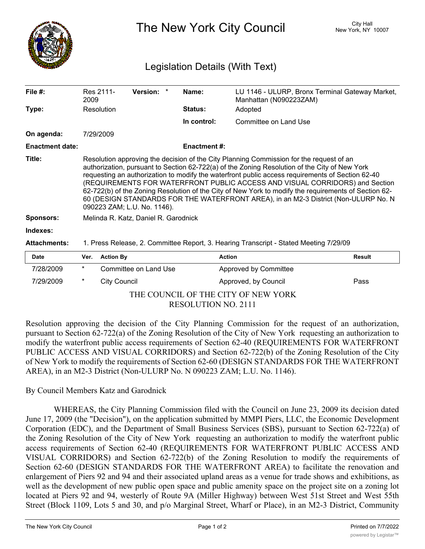

The New York City Council New York, NY 10007

## Legislation Details (With Text)

| File $#$ :             | 2009                                                                                                                                                                                                                                                                                                                                                                                                                                                                                                                                                                                                       | Res 2111-           | Version: *            | Name:               | Manhattan (N090223ZAM) | LU 1146 - ULURP, Bronx Terminal Gateway Market, |
|------------------------|------------------------------------------------------------------------------------------------------------------------------------------------------------------------------------------------------------------------------------------------------------------------------------------------------------------------------------------------------------------------------------------------------------------------------------------------------------------------------------------------------------------------------------------------------------------------------------------------------------|---------------------|-----------------------|---------------------|------------------------|-------------------------------------------------|
| Type:                  |                                                                                                                                                                                                                                                                                                                                                                                                                                                                                                                                                                                                            | Resolution          |                       | <b>Status:</b>      | Adopted                |                                                 |
|                        |                                                                                                                                                                                                                                                                                                                                                                                                                                                                                                                                                                                                            |                     |                       | In control:         | Committee on Land Use  |                                                 |
| On agenda:             |                                                                                                                                                                                                                                                                                                                                                                                                                                                                                                                                                                                                            | 7/29/2009           |                       |                     |                        |                                                 |
| <b>Enactment date:</b> |                                                                                                                                                                                                                                                                                                                                                                                                                                                                                                                                                                                                            |                     |                       | <b>Enactment #:</b> |                        |                                                 |
| Title:                 | Resolution approving the decision of the City Planning Commission for the request of an<br>authorization, pursuant to Section 62-722(a) of the Zoning Resolution of the City of New York<br>requesting an authorization to modify the waterfront public access requirements of Section 62-40<br>(REQUIREMENTS FOR WATERFRONT PUBLIC ACCESS AND VISUAL CORRIDORS) and Section<br>62-722(b) of the Zoning Resolution of the City of New York to modify the requirements of Section 62-<br>60 (DESIGN STANDARDS FOR THE WATERFRONT AREA), in an M2-3 District (Non-ULURP No. N<br>090223 ZAM; L.U. No. 1146). |                     |                       |                     |                        |                                                 |
| <b>Sponsors:</b>       | Melinda R. Katz, Daniel R. Garodnick                                                                                                                                                                                                                                                                                                                                                                                                                                                                                                                                                                       |                     |                       |                     |                        |                                                 |
| Indexes:               |                                                                                                                                                                                                                                                                                                                                                                                                                                                                                                                                                                                                            |                     |                       |                     |                        |                                                 |
| <b>Attachments:</b>    | 1. Press Release, 2. Committee Report, 3. Hearing Transcript - Stated Meeting 7/29/09                                                                                                                                                                                                                                                                                                                                                                                                                                                                                                                      |                     |                       |                     |                        |                                                 |
| <b>Date</b>            | Ver.                                                                                                                                                                                                                                                                                                                                                                                                                                                                                                                                                                                                       | <b>Action By</b>    |                       |                     | <b>Action</b>          | <b>Result</b>                                   |
| 7/28/2009              | $^\star$                                                                                                                                                                                                                                                                                                                                                                                                                                                                                                                                                                                                   |                     | Committee on Land Use |                     | Approved by Committee  |                                                 |
| 7/29/2009              | $^\star$                                                                                                                                                                                                                                                                                                                                                                                                                                                                                                                                                                                                   | <b>City Council</b> |                       |                     | Approved, by Council   | Pass                                            |

THE COUNCIL OF THE CITY OF NEW YORK RESOLUTION NO. 2111

Resolution approving the decision of the City Planning Commission for the request of an authorization, pursuant to Section 62-722(a) of the Zoning Resolution of the City of New York requesting an authorization to modify the waterfront public access requirements of Section 62-40 (REQUIREMENTS FOR WATERFRONT PUBLIC ACCESS AND VISUAL CORRIDORS) and Section 62-722(b) of the Zoning Resolution of the City of New York to modify the requirements of Section 62-60 (DESIGN STANDARDS FOR THE WATERFRONT AREA), in an M2-3 District (Non-ULURP No. N 090223 ZAM; L.U. No. 1146).

## By Council Members Katz and Garodnick

WHEREAS, the City Planning Commission filed with the Council on June 23, 2009 its decision dated June 17, 2009 (the "Decision"), on the application submitted by MMPI Piers, LLC, the Economic Development Corporation (EDC), and the Department of Small Business Services (SBS), pursuant to Section 62-722(a) of the Zoning Resolution of the City of New York requesting an authorization to modify the waterfront public access requirements of Section 62-40 (REQUIREMENTS FOR WATERFRONT PUBLIC ACCESS AND VISUAL CORRIDORS) and Section 62-722(b) of the Zoning Resolution to modify the requirements of Section 62-60 (DESIGN STANDARDS FOR THE WATERFRONT AREA) to facilitate the renovation and enlargement of Piers 92 and 94 and their associated upland areas as a venue for trade shows and exhibitions, as well as the development of new public open space and public amenity space on the project site on a zoning lot located at Piers 92 and 94, westerly of Route 9A (Miller Highway) between West 51st Street and West 55th Street (Block 1109, Lots 5 and 30, and p/o Marginal Street, Wharf or Place), in an M2-3 District, Community